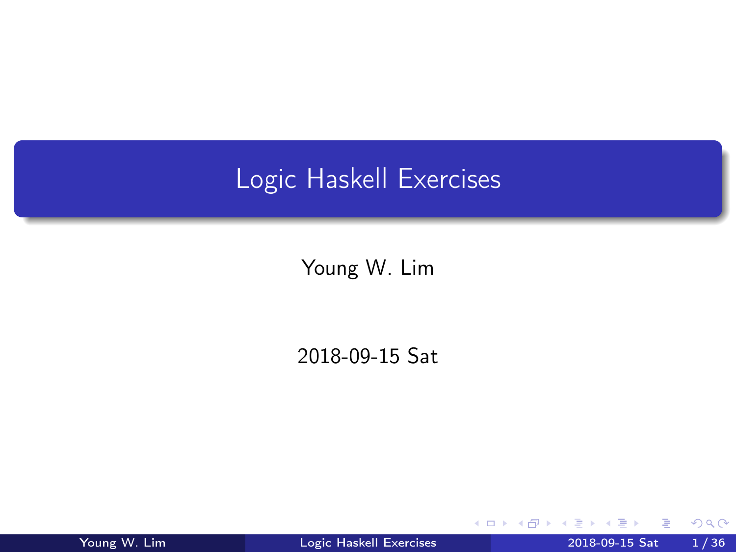# <span id="page-0-0"></span>Logic Haskell Exercises

Young W. Lim

2018-09-15 Sat

4 0 8 ×. - イ 局 ÷  $\sim$ ъ

Young W. Lim [Logic Haskell Exercises](#page-35-0) 2018-09-15 Sat 1 / 36

э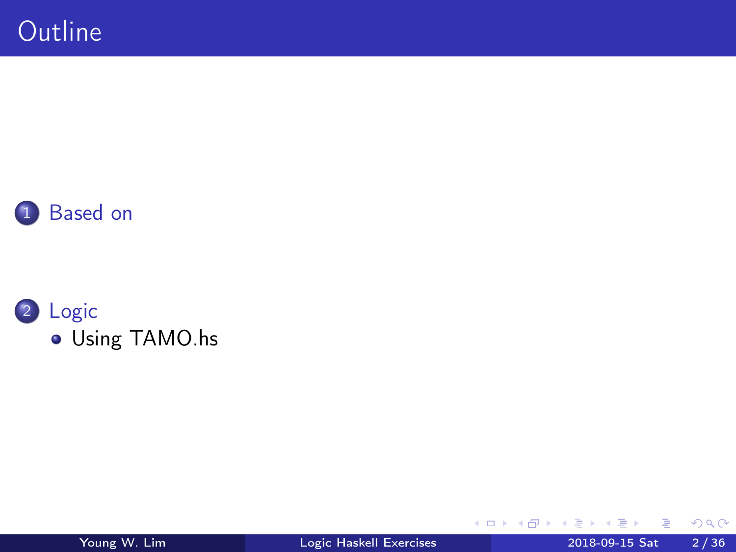



B

э D. ×.

**K ロ ト K 伊 ト K** 

重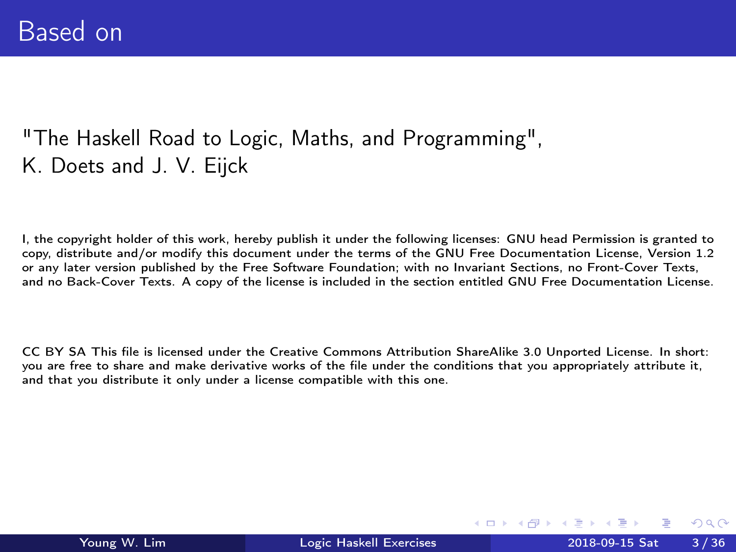#### <span id="page-2-0"></span>"The Haskell Road to Logic, Maths, and Programming", K. Doets and J. V. Eijck

I, the copyright holder of this work, hereby publish it under the following licenses: GNU head Permission is granted to copy, distribute and/or modify this document under the terms of the GNU Free Documentation License, Version 1.2 or any later version published by the Free Software Foundation; with no Invariant Sections, no Front-Cover Texts, and no Back-Cover Texts. A copy of the license is included in the section entitled GNU Free Documentation License.

CC BY SA This file is licensed under the Creative Commons Attribution ShareAlike 3.0 Unported License. In short: you are free to share and make derivative works of the file under the conditions that you appropriately attribute it, and that you distribute it only under a license compatible with this one.

イロト イ母ト イヨト イヨ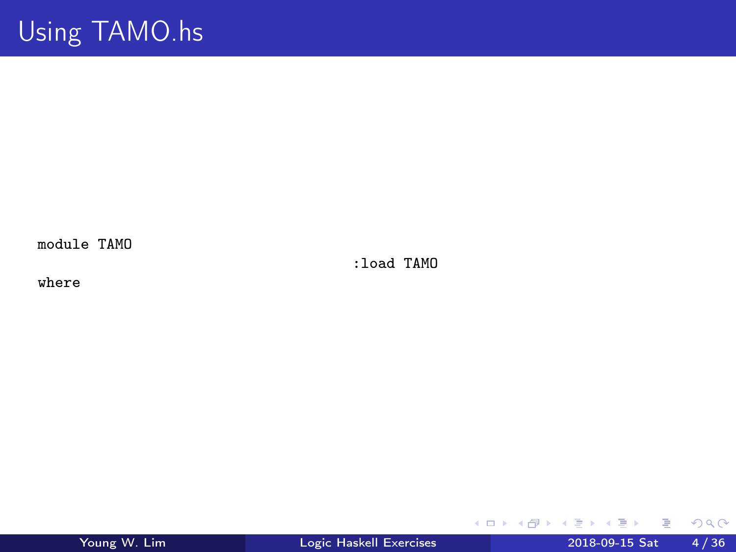<span id="page-3-0"></span>module TAMO

:load TAMO

where

重

 $2990$ 

イロト イ部 トメ ヨ トメ ヨト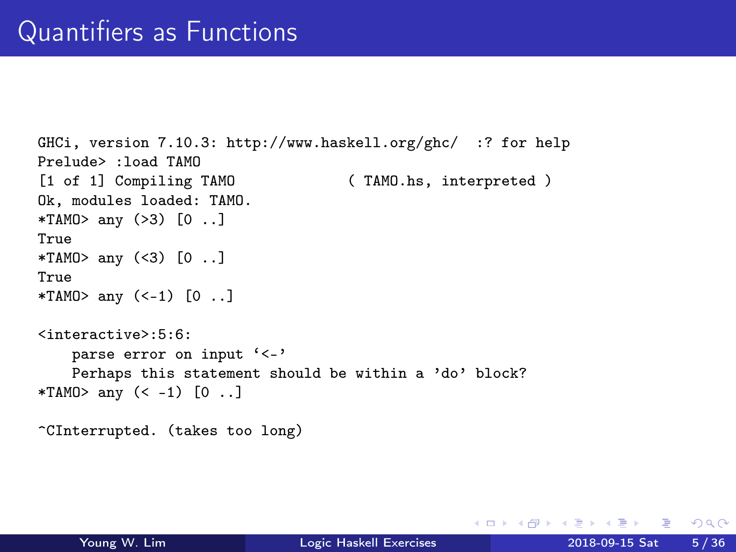```
GHCi, version 7.10.3: http://www.haskell.org/ghc/ :? for help
Prelude> :load TAMO
[1 of 1] Compiling TAMO ( TAMO.hs, interpreted )
Ok, modules loaded: TAMO.
*TAMO> any (>3) [0 ..]
True
*TAMO> any (<3) [0 ..]
True
*TAMO> any (<-1) [0 ..]
<interactive>:5:6:
   parse error on input '<-'
   Perhaps this statement should be within a 'do' block?
*TAMO> any (< -1) [O ..]
^CInterrupted. (takes too long)
```
**KED KARD KED KED A BLOOM**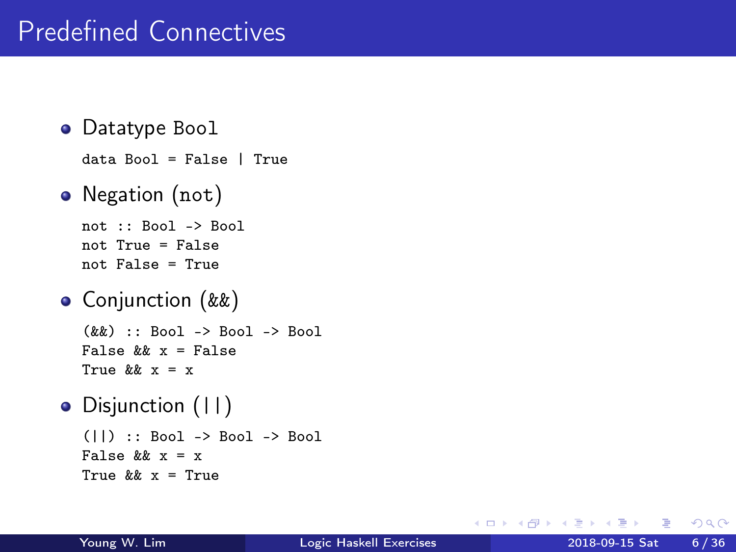• Datatype Bool

```
data Bool = False | True
```
• Negation (not)

```
not :: Bool -> Bool
not True = False
not False = True
```
- Conjunction (&&)  $(kk)$  :: Bool -> Bool -> Bool False  $k k$   $x =$  False True  $k k$   $x = x$
- Disjunction (||) (||) :: Bool -> Bool -> Bool False  $k k$   $x = x$ True  $k\& x = True$

 $QQ$ 

**母 ト ィヨ ト ィヨ** 

4 0 8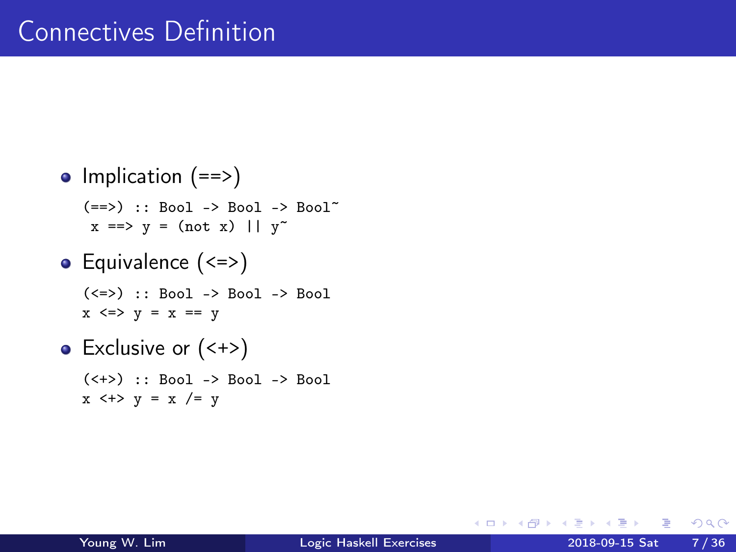### Connectives Definition

\n- Implication (==>)
\n- $$
(==>):
$$
  $Bool \rightarrow Bool -> Bool -> Bool -> Bool -> Bool^x$
\n- $x ==> y = (not x) || y^x$
\n- Equivalence ()< li="">\n- $(<=>):$   $Bool \rightarrow Bool -> Bool -> Bool$
\n- $x <=> y = x == y$
\n)<>

• Exclusive or  $(\leftrightarrow)$ (<+>) :: Bool -> Bool -> Bool  $x \leftrightarrow y = x$  /= y

4 D F  $\mathcal{A}$ - イ 局 ÷  $\sim$  重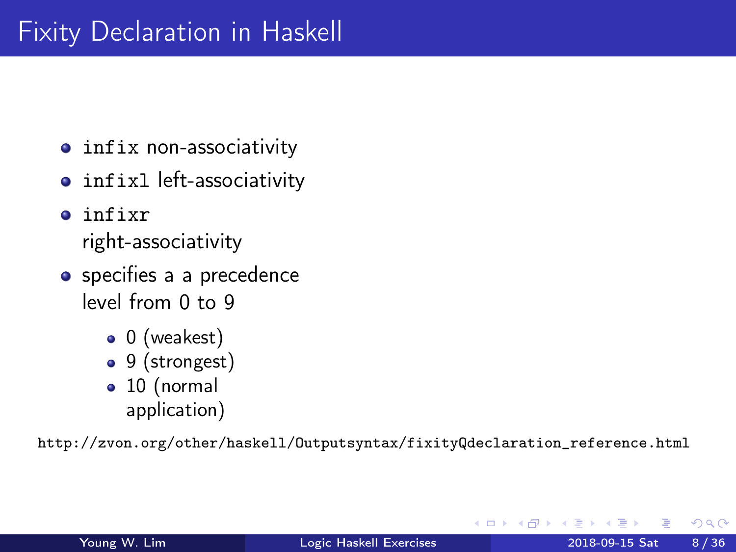- infix non-associativity
- infixl left-associativity
- infixr right-associativity
- specifies a a precedence level from 0 to 9
	- $\bullet$  0 (weakest)
	- 9 (strongest)
	- 10 (normal application)

http://zvon.org/other/haskell/Outputsyntax/fixityQdeclaration\_reference.html

 $\Omega$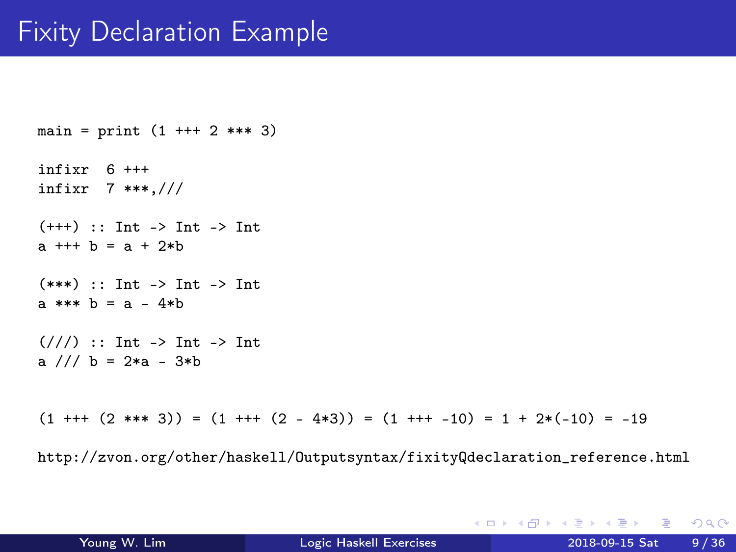## Fixity Declaration Example

```
main = print (1 + + + 2 * * * 3)infixr 6 +++
infixr 7 ***,///
(+++) :: Int -> Int -> Int
a + + + b = a + 2 * b(***) \cdots Int -> Int -> Int
a *** b = a - 4*b
\frac{1}{2} :: Int -> Int -> Int
a /// b = 2*a - 3*b
```
 $(1 + + + (2 * * * 3)) = (1 + + + (2 - 4 * 3)) = (1 + + + -10) = 1 + 2 * (-10) = -19$ 

http://zvon.org/other/haskell/Outputsyntax/fixityQdeclaration\_reference.html

**KED KARD KED KED A BLOOM**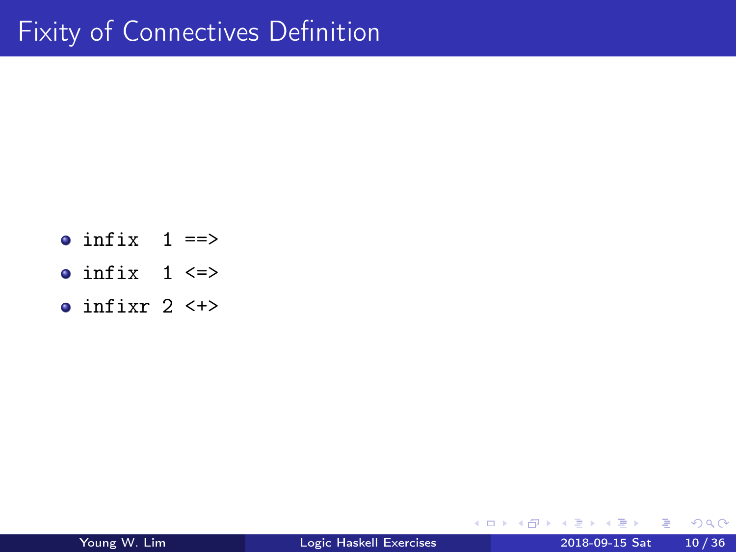- $\bullet$  infix  $1 ==$ >
- $\bullet$  infix  $1 \le x$
- $\bullet$  infixr 2  $\leftarrow$

活

 $\triangleright$   $\rightarrow$   $\equiv$ 

4 D F

 $\leftarrow$   $\leftarrow$   $\leftarrow$   $\leftarrow$ ∍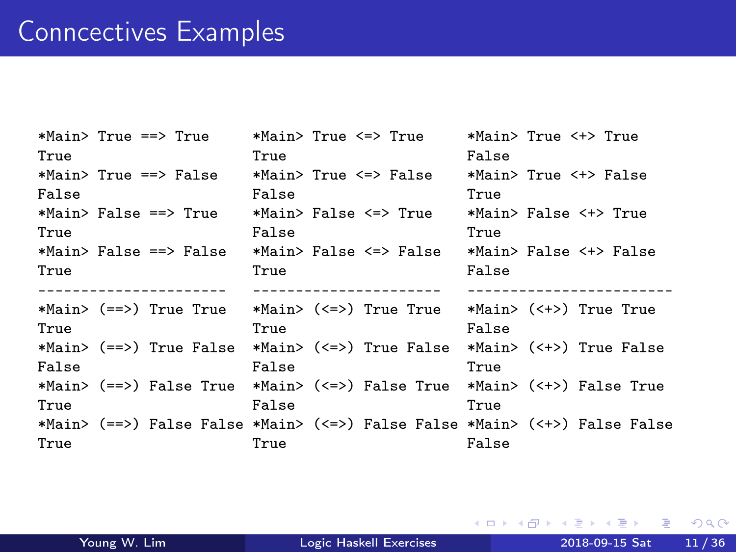#### Conncectives Examples

| *Main> True ==> True   | *Main> True <=> True                                                    | *Main> True <+> True                                                       |
|------------------------|-------------------------------------------------------------------------|----------------------------------------------------------------------------|
| True                   | True                                                                    | False                                                                      |
| *Main> True ==> False  | *Main> True <=> False                                                   | *Main> True <+> False                                                      |
| False                  | False                                                                   | True                                                                       |
| *Main> False ==> True  | *Main> False <=> True                                                   | *Main> False <+> True                                                      |
| True                   | False                                                                   | True                                                                       |
| *Main> False ==> False | *Main> False <=> False                                                  | *Main> False <+> False                                                     |
| True                   | True                                                                    | False                                                                      |
|                        |                                                                         |                                                                            |
|                        |                                                                         |                                                                            |
|                        | *Main> (==>) True True *Main> (<=>) True True *Main> (<+>) True True    |                                                                            |
| True                   | True                                                                    | False                                                                      |
|                        | *Main> (==>) True False *Main> (<=>) True False *Main> (<+>) True False |                                                                            |
| False                  | False                                                                   | True                                                                       |
|                        | *Main> (==>) False True *Main> (<=>) False True *Main> (<+>) False True |                                                                            |
| True                   | False                                                                   | True                                                                       |
|                        |                                                                         | *Main> (==>) False False *Main> (<=>) False False *Main> (<+>) False False |

重

 $299$ 

경 > K 경 >

**K ロ ト K 伊 ト K**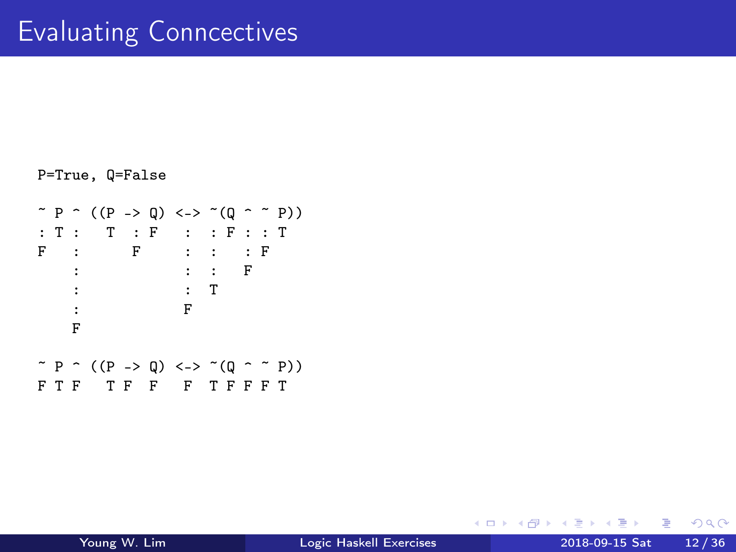```
P=True, Q=False
\tilde{P} \cap ((P -> Q) <-> \tilde{P}(Q \cap \tilde{P}))
: T : T : F : : F : : T
F : F : : : F
     : : : F
     : : T
     : F
    :<br>F
\tilde{P} \cap ((P -> Q) <-> \tilde{P}(Q \cap \tilde{P}))
F T F F F T F F F T F F T F F T F F T F T F T F T F T F T T F T T F T T T
```
4 D F

 $\leftarrow$   $\leftarrow$   $\leftarrow$   $\leftarrow$ 

ミメスミ

 $\equiv$  990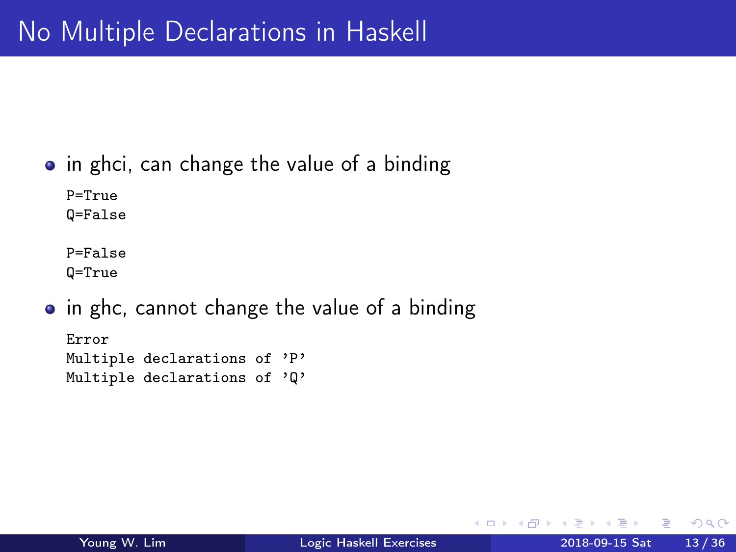#### <span id="page-12-0"></span> $\bullet$  in ghci, can change the value of a binding

P=True Q=False

P=False Q=True

• in ghc, cannot change the value of a binding

Error Multiple declarations of 'P' Multiple declarations of 'Q'

 $QQ$ 

 $\sim$ 

**同 > <** 

4 D F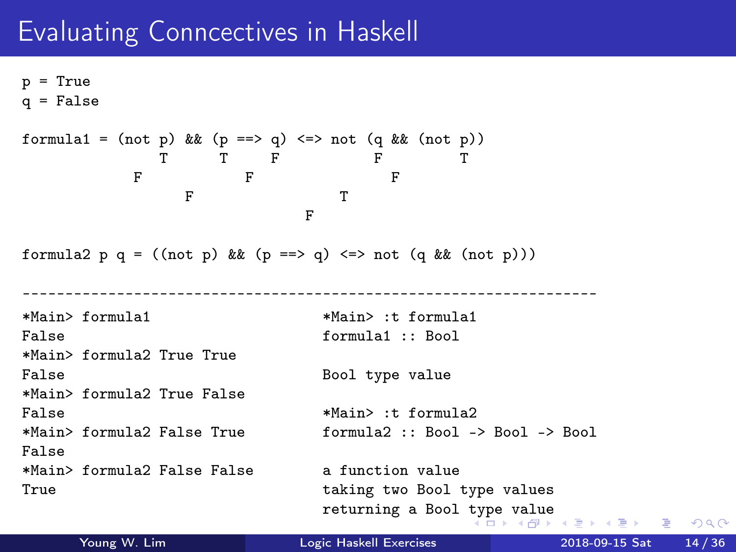### <span id="page-13-0"></span>Evaluating Conncectives in Haskell

 $p = True$  $q = False$ formula1 = (not p) && (p ==> q) <=> not (q && (not p)) T T F F T F F F F T F formula2 p q =  $((not p) \& (p == > q) \iff not (q \& (not p)))$ ------------------------------------------------------------------- \*Main> formula1 \*Main> :t formula1 False formula1 :: Bool \*Main> formula2 True True False Bool type value \*Main> formula2 True False False  $*$ Main> :t formula2 \*Main> formula2 False True formula2 :: Bool -> Bool -> Bool False \*Main> formula2 False False a function value True taking two Bool type values returning a Bool [ty](#page-12-0)p[e](#page-14-0) [va](#page-12-0)[lu](#page-13-0)[e](#page-14-0)<br> $\overline{AB}$  a  $\overline{B}$  a  $\overline{B}$  a  $\overline{B}$  a  $\overline{B}$  a  $\overline{B}$  and  $\overline{B}$  and  $\overline{B}$  and  $\overline{B}$  and  $\overline{B}$ 

Young W. Lim [Logic Haskell Exercises](#page-0-0) 2018-09-15 Sat 14 / 36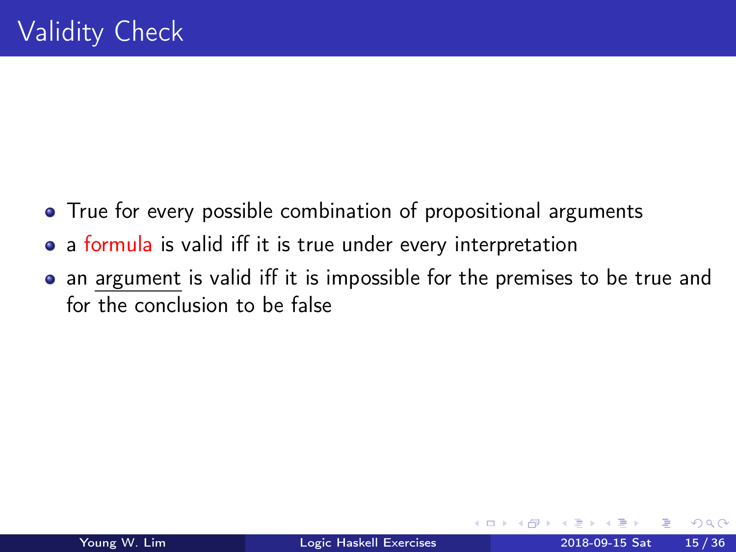- <span id="page-14-0"></span>• True for every possible combination of propositional arguments
- a formula is valid iff it is true under every interpretation
- an argument is valid iff it is impossible for the premises to be true and for the conclusion to be false

 $\Omega$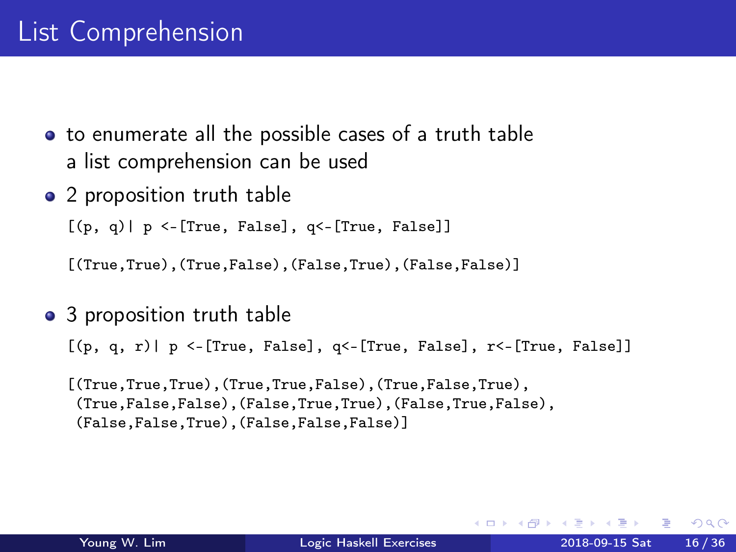- to enumerate all the possible cases of a truth table a list comprehension can be used
- 2 proposition truth table

 $[(p, q) | p \leftarrow [True, False], q \leftarrow [True, False]$ 

[(True,True),(True,False),(False,True),(False,False)]

• 3 proposition truth table

 $[(p, q, r) | p \leftarrow [True, False], q \leftarrow [True, False], r \leftarrow [True, False]$ 

[(True,True,True),(True,True,False),(True,False,True), (True,False,False),(False,True,True),(False,True,False), (False,False,True),(False,False,False)]

 $QQ$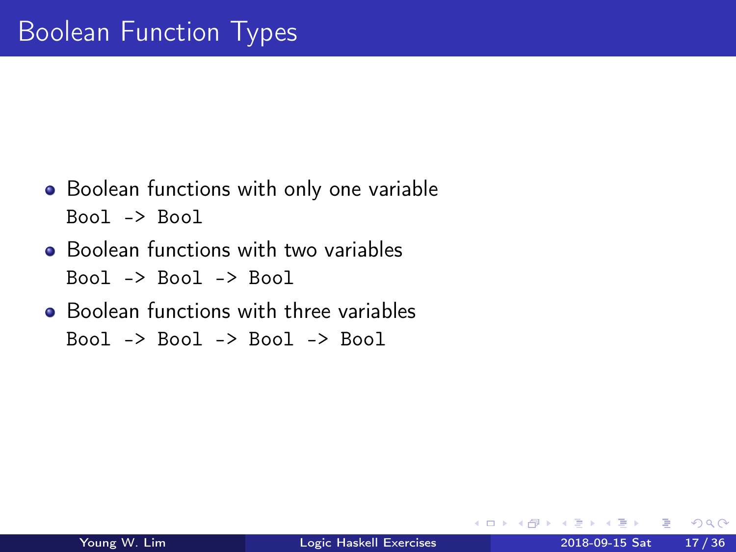- Boolean functions with only one variable  $Bool \rightarrow Bool$
- **•** Boolean functions with two variables Bool -> Bool -> Bool
- Boolean functions with three variables  $Bool \rightarrow Bool \rightarrow Bool \rightarrow Bool$

 $\Omega$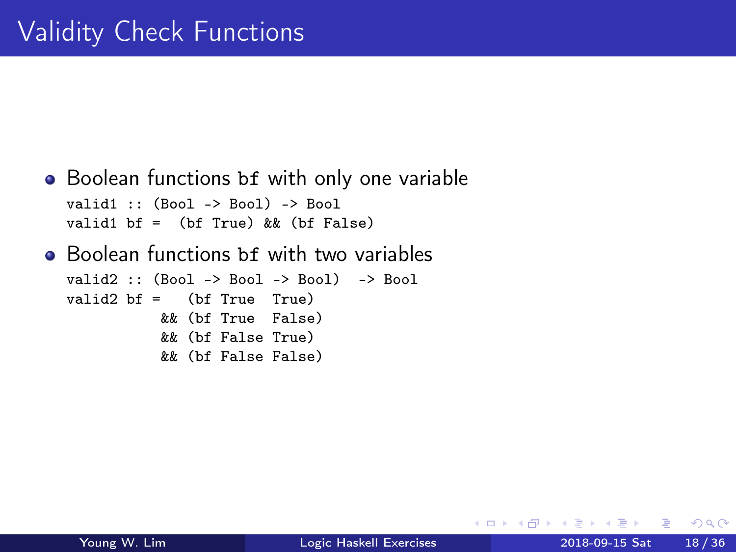```
• Boolean functions bf with only one variable
  valid1 :: (Bool -> Bool) -> Bool
  valid1 bf = (bf True) & (bf False)• Boolean functions bf with two variables
  valid2 :: (Bool -> Bool -> Bool) -> Bool
  valid2 bf = (bf True True)&& (bf True False)
            && (bf False True)
            && (bf False False)
```
4 0 8

- イ 局

÷

 $QQ$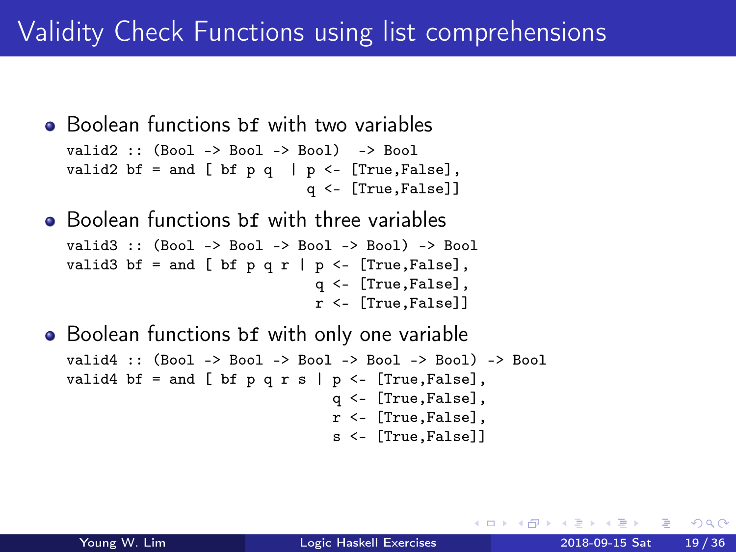```
• Boolean functions bf with two variables
  valid2 :: (Bool -> Bool -> Bool) -> Bool
  valid2 bf = and [ bf p q | p <- [True, False],
                              q <- [True,False]]
```
- **•** Boolean functions bf with three variables valid3 :: (Bool -> Bool -> Bool -> Bool) -> Bool valid3 bf = and [ bf p q r | p <- [True, False], q <- [True,False], r <- [True,False]]
- Boolean functions bf with only one variable valid4 :: (Bool -> Bool -> Bool -> Bool -> Bool) -> Bool valid4 bf = and [ bf p q r s | p  $\leq$  [True, False], q <- [True,False], r <- [True,False], s <- [True,False]]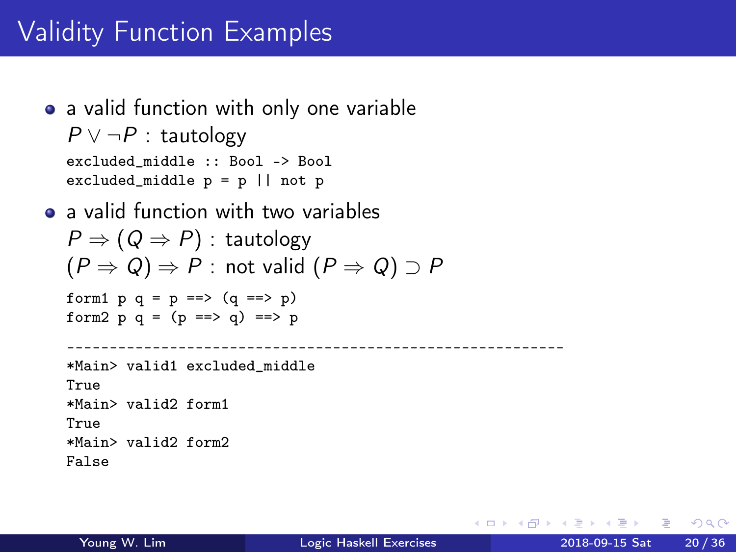## Validity Function Examples

- a valid function with only one variable  $P \vee \neg P$  : tautology excluded\_middle :: Bool -> Bool excluded\_middle  $p = p \mid \mid$  not p
- a valid function with two variables  $P \Rightarrow (Q \Rightarrow P)$ : tautology  $(P \Rightarrow Q) \Rightarrow P$ : not valid  $(P \Rightarrow Q) \supset P$ form1  $p q = p ==>(q == p)$ form2  $p q = (p == > q) == > p$ ---------------------------------------------------------- \*Main> valid1 excluded\_middle True \*Main> valid2 form1 True \*Main> valid2 form2 False

4 D F

K 何 ▶ K ヨ ▶ K ヨ ▶ │ ヨ │ め&企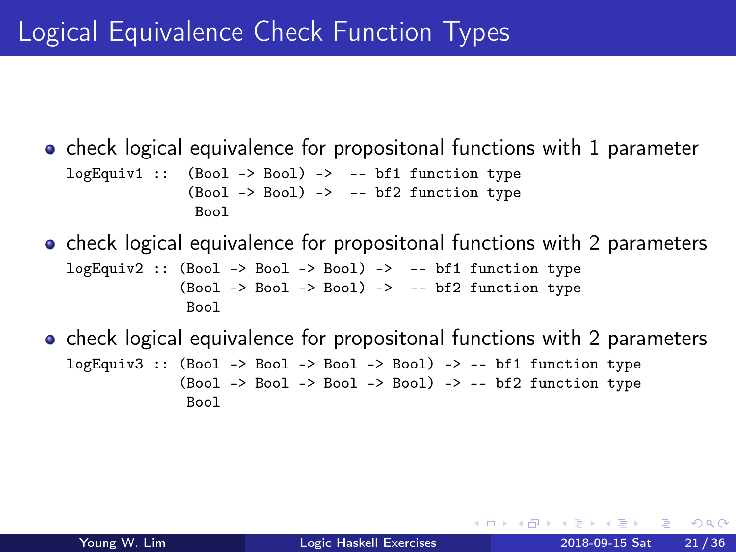# Logical Equivalence Check Function Types

 $\bullet$  check logical equivalence for propositonal functions with 1 parameter  $logEquiv1$  :: (Bool -> Bool) -> -- bf1 function type  $(Bool \rightarrow Bool)$  -> -- bf2 function type Bool

• check logical equivalence for propositonal functions with 2 parameters

logEquiv2 :: (Bool -> Bool -> Bool) -> -- bf1 function type  $(Bool \rightarrow Bool \rightarrow Bool)$  -> -- bf2 function type Bool

• check logical equivalence for propositonal functions with 2 parameters  $logEquiv3$  :: (Bool -> Bool -> Bool -> Bool) -> -- bf1 function type  $(Bool \rightarrow Bool \rightarrow Bool \rightarrow Bool) \rightarrow -- bf2 function type$ Bool

 $\Omega$ 

 $\sqrt{m}$  )  $\sqrt{m}$  )  $\sqrt{m}$  )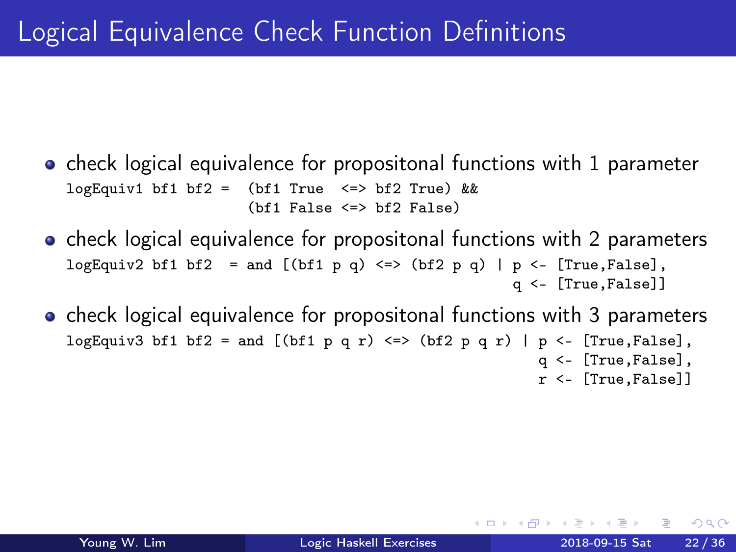- o check logical equivalence for propositonal functions with 1 parameter logEquiv1 bf1 bf2 = (bf1 True  $\le$  > bf2 True) &&  $(bf1$  False  $\leq$   $\geq$   $bf2$  False)
- check logical equivalence for propositonal functions with 2 parameters logEquiv2 bf1 bf2 = and  $[(bf1 p q) \leq b(f2 p q) | p \leq [True, False],$ q <- [True,False]]
- check logical equivalence for propositonal functions with 3 parameters logEquiv3 bf1 bf2 = and  $[(bf1 p q r) \leq bf2 p q r]$  | p <- [True, False], q <- [True,False], r <- [True,False]]

 $QQQ$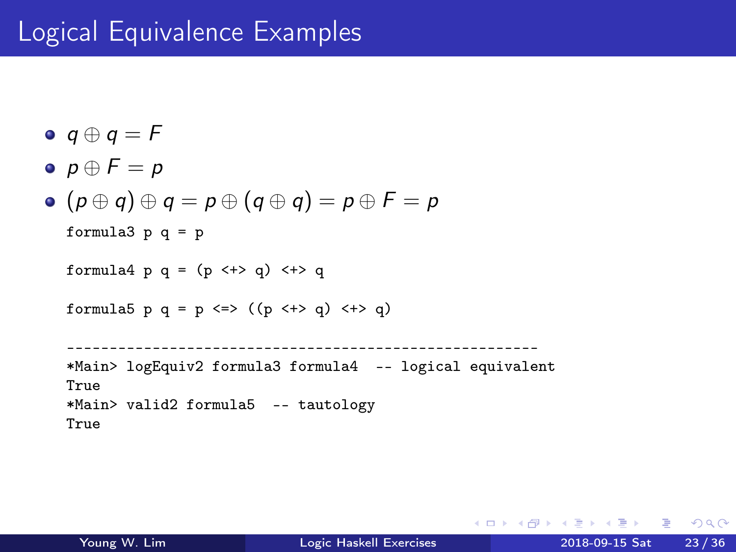## Logical Equivalence Examples

```
\bullet q \oplus q = F
```

$$
\bullet\ \ p\oplus F=p
$$

 $(p \oplus q) \oplus q = p \oplus (q \oplus q) = p \oplus F = p$ 

```
formula3 p q = p
```

```
formula4 p q = (p \leftrightarrow q) \leftrightarrow q
```

```
formula5 p q = p \iff ((p \iff q) \iff q)
```

```
-------------------------------------------------------
*Main> logEquiv2 formula3 formula4 -- logical equivalent
True
*Main> valid2 formula5 -- tautology
True
```
K ロ ▶ K 個 ▶ K 로 ▶ K 로 ▶ - 로 - K 9 Q @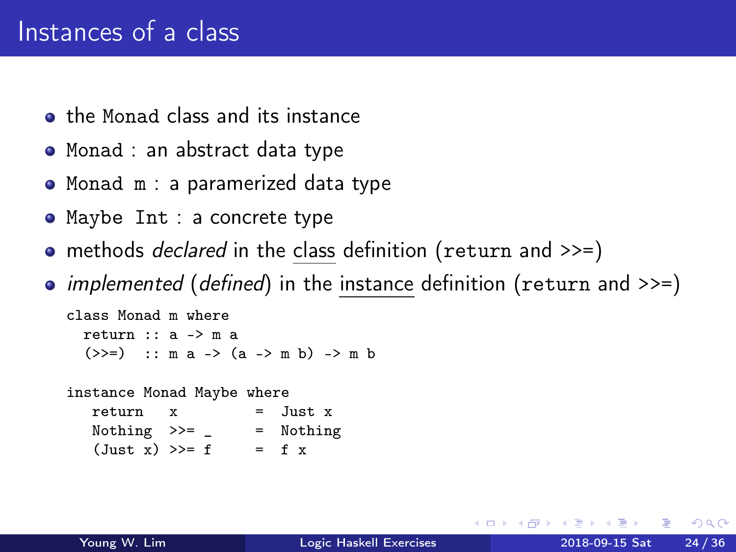## Instances of a class

- **•** the Monad class and its instance
- Monad : an abstract data type
- Monad m : a paramerized data type
- Maybe Int : a concrete type
- methods *declared* in the class definition (return and >>=)
- implemented (defined) in the instance definition (return and  $\gg$ =)

```
class Monad m where
  return :: a -> m a
  (\gg)=) :: m a -> (a -> m b) -> m b
```
instance Monad Maybe where

| return x          |  | $=$ Just $x$ |
|-------------------|--|--------------|
| Nothing $>>=$ $-$ |  | = Nothing    |
| (Just x) >> f     |  | $=$ f x      |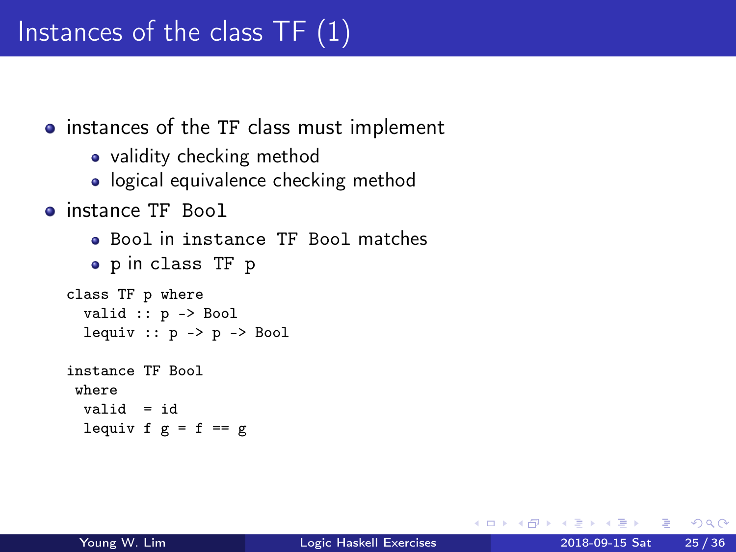- instances of the TF class must implement
	- validity checking method
	- logical equivalence checking method
- **•** instance TF Bool
	- Bool in instance TF Bool matches
	- p in class TF p

```
class TF p where
  valid :: p -> Bool
  lequiv :: p \rightarrow p \rightarrow Bool
instance TF Bool
 where
  valid = id
  lequiv f g = f == g
```
AD ▶ - 4 三 ▶ - 4

 $QQ$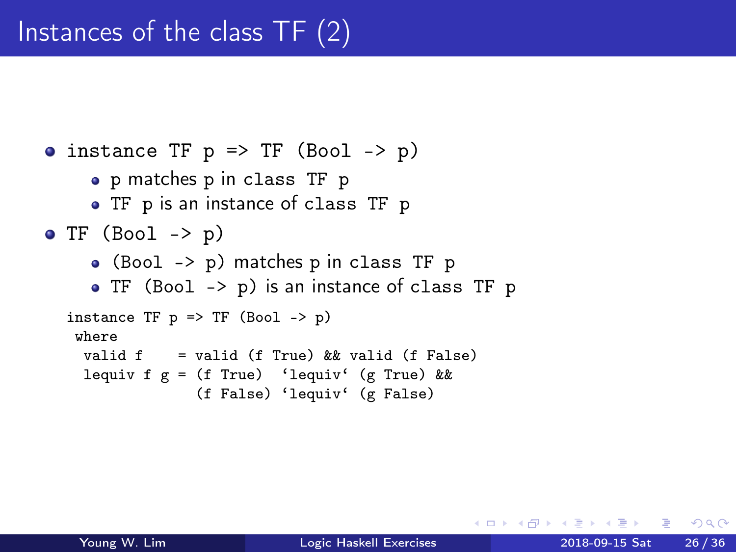```
\bullet instance TF p => TF (Bool -> p)
     p matches p in class TF p
     • TF p is an instance of class TF p
\bullet TF (Bool -> p)
     (Bool -> p) matches p in class TF p
     TF (Bool -> p) is an instance of class TF p
  instance TF p \Rightarrow TF (Bool \rightarrow p)
   where
    valid f = valid (f True) && valid (f False)
    lequiv f g = (f \text{ True}) 'lequiv' (g True) &&
                 (f False) 'lequiv' (g False)
```
 $\Omega$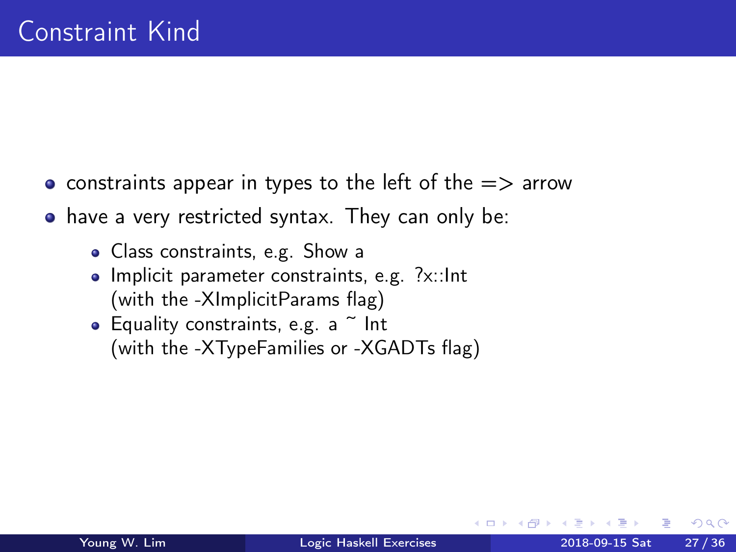- constraints appear in types to the left of the  $\Rightarrow$  arrow
- have a very restricted syntax. They can only be:
	- Class constraints, e.g. Show a
	- Implicit parameter constraints, e.g. ?x::Int (with the -XImplicitParams flag)
	- Equality constraints, e.g.  $a \sim$  Int (with the -XTypeFamilies or -XGADTs flag)

 $\Omega$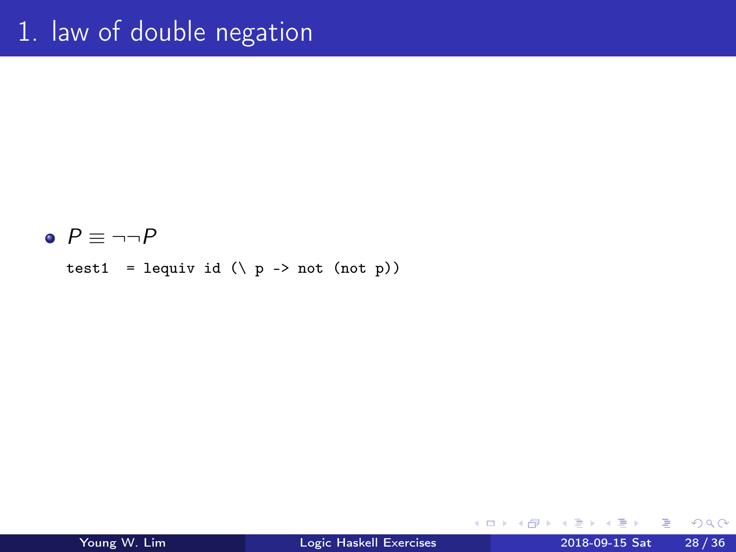#### $P \equiv \neg \neg P$

test1 = lequiv id  $(\n\vee p \rightarrow not (not p))$ 

4 **D F** 

 $\leftarrow$   $\leftarrow$   $\leftarrow$   $\leftarrow$ э  $\rightarrow$  $\sim$  4.

Young W. Lim [Logic Haskell Exercises](#page-0-0) 2018-09-15 Sat 28 / 36

活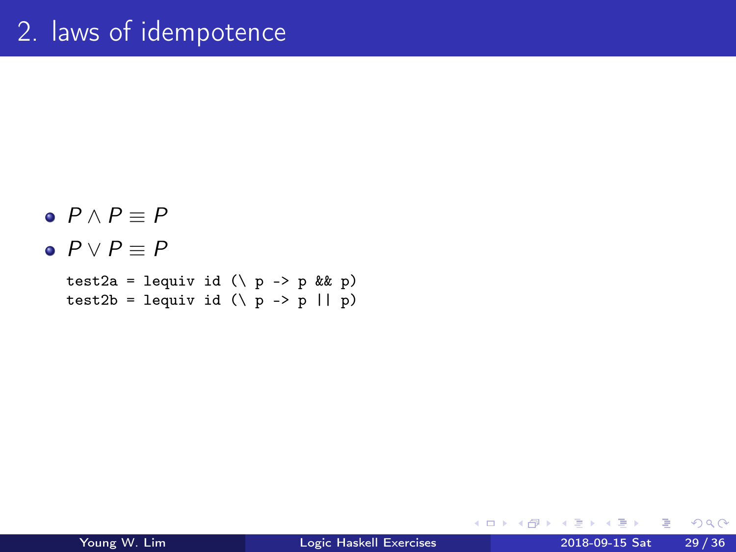#### $\bullet$   $P \wedge P \equiv P$  $\bullet$   $P \vee P \equiv P$ test2a = lequiv id  $(\n\vee p \rightarrow p \& k p)$ test2b = lequiv id  $(\n\vee p \rightarrow p || p)$

G.

 $A \Box B$   $A \Box B$   $A \Box B$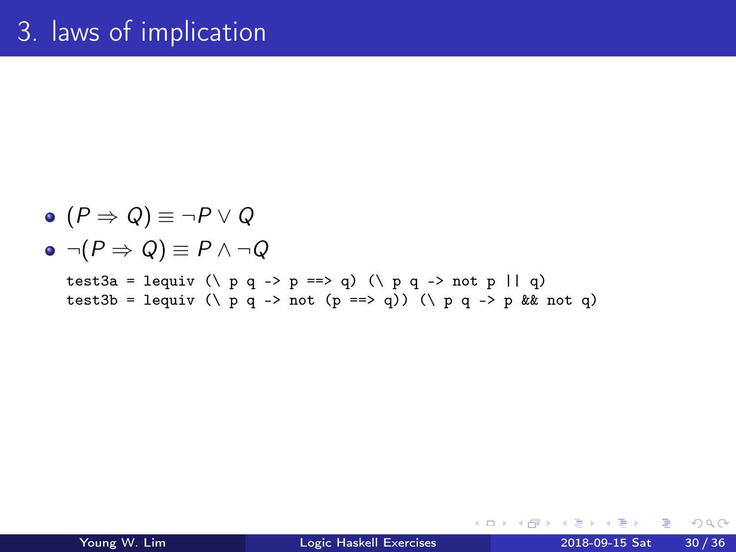\n- \n
$$
(P \Rightarrow Q) \equiv \neg P \vee Q
$$
\n
\n- \n $\neg(P \Rightarrow Q) \equiv P \wedge \neg Q$ \n
\n- \n $\neg \text{test3a = } \text{lequiv } (\setminus p \neq \neg > p == > q) \ (\setminus p \neq \neg > \text{not } p \mid \mid q)$ \n
\n- \n $\text{test3b = } \text{lequiv } (\setminus p \neq \neg > \text{not } (p == > q)) \ (\setminus p \neq \neg > p \text{ & k not } q)$ \n
\n

J. Young W. Lim [Logic Haskell Exercises](#page-0-0) 2018-09-15 Sat 30 / 36

**K ロ ト K 伊 ト K** 

э  $\mathbf{p}$ 一本語 重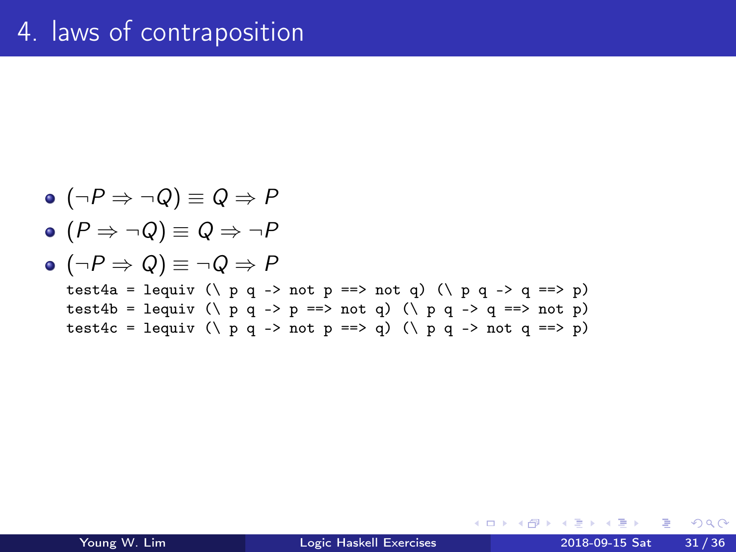\n- \n
$$
(\neg P \Rightarrow \neg Q) \equiv Q \Rightarrow P
$$
\n
\n- \n $(P \Rightarrow \neg Q) \equiv Q \Rightarrow \neg P$ \n
\n- \n $(\neg P \Rightarrow Q) \equiv \neg Q \Rightarrow P$ \n
\n- \n $\text{test4a = } \text{lequiv } (\setminus p \neq \neg \text{ not } p \implies \text{not } q) \ (\setminus p \neq \neg \text{ or } q \implies p \text{ is odd})$ \n
\n- \n $\text{test4b = } \text{lequiv } (\setminus p \neq \neg \text{ not } p \implies \text{not } q) \ (\setminus p \neq \neg \text{ or } q \implies \text{not } p \text{ is odd})$ \n
\n- \n $\text{test4c = } \text{lequiv } (\setminus p \neq \neg \text{ not } p \implies q) \ (\setminus p \neq \neg \text{ not } q \implies p)$ \n
\n

þ. Young W. Lim [Logic Haskell Exercises](#page-0-0) 2018-09-15 Sat 31 / 36

 $\mathbf{p}$ B

∍ ×.

**K ロ ト K 伊 ト K** 

重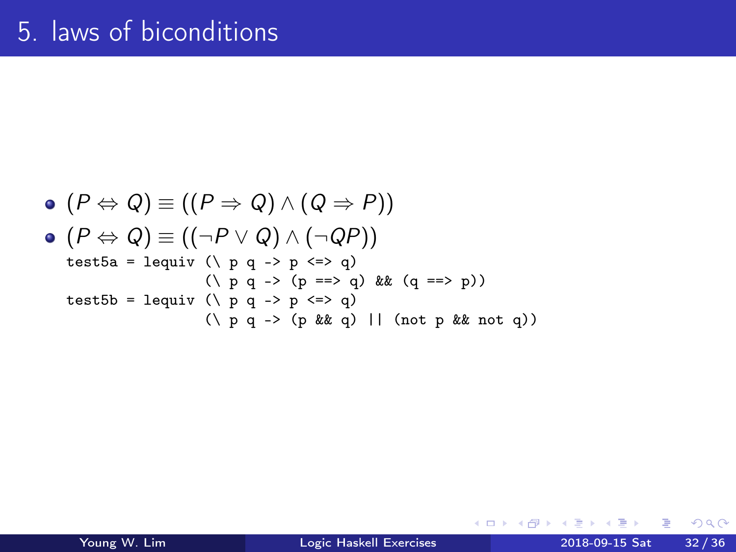\n- \n
$$
(P \Leftrightarrow Q) \equiv ((P \Rightarrow Q) \land (Q \Rightarrow P))
$$
\n
\n- \n $(P \Leftrightarrow Q) \equiv ((\neg P \lor Q) \land (\neg QP))$ \n
\n- \n $test5a = \text{lequiv } (\land p q \rightarrow p \iff q)$ \n
\n- \n $(\land p q \rightarrow (p == > q) \land (q == > p))$ \n
\n- \n $test5b = \text{lequiv } (\land p q \rightarrow p \iff q)$ \n
\n- \n $(\land p q \rightarrow (p \land kq) \mid (\text{not } p \land kq \text{ not } q))$ \n
\n

B Þ Young W. Lim [Logic Haskell Exercises](#page-0-0) 2018-09-15 Sat 32 / 36

**K ロ ト K 伊 ト K** 

∍ D. ×. 重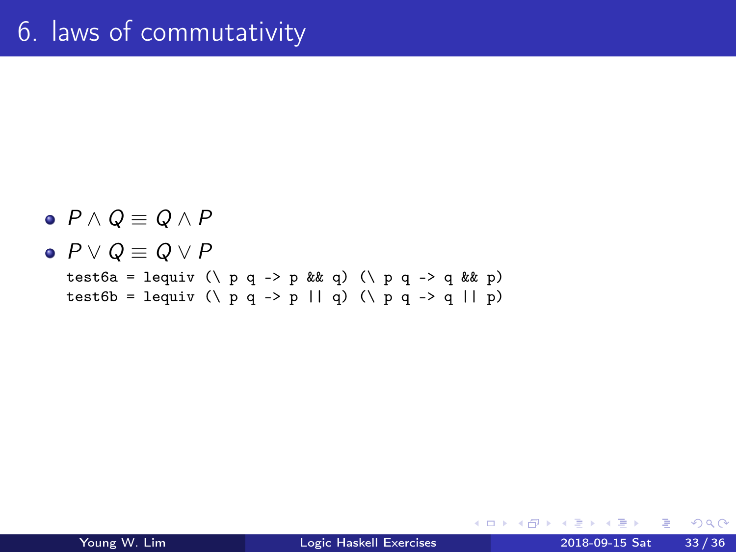\n- $$
P \wedge Q \equiv Q \wedge P
$$
\n- $P \vee Q \equiv Q \vee P$
\n- test6a = lequiv (\n  $\wedge$  p q  $\neg$  > p && q) (\n  $\wedge$  p q  $\neg$  > q && p) test6b = lequiv (\n  $\wedge$  p q  $\neg$  > p || q) (\n  $\wedge$  p q  $\neg$  > q || p)
\n

造

**K ロ ▶ K 何 ▶**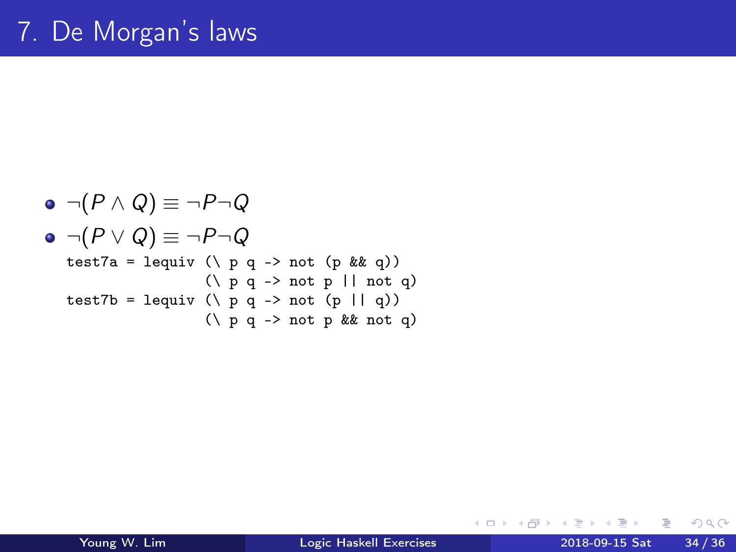\n- \n
$$
\neg(P \land Q) \equiv \neg P \neg Q
$$
\n
\n- \n $\neg(P \lor Q) \equiv \neg P \neg Q$ \n
\n- \n $\text{test7a = } \text{lequiv } (\setminus p \neq \neg)$ \n
\n- \n $(\setminus p \neq \neg)$ \n
\n- \n $\text{test7b = } \text{lequiv } (\setminus p \neq \neg)$ \n
\n- \n $\text{test7b = } \text{lequiv } (\setminus p \neq \neg)$ \n
\n- \n $\text{test7b = } \text{lequiv } (\setminus p \neq \neg)$ \n
\n- \n $\text{test7b = } \text{lequiv } (\setminus p \neq \neg)$ \n
\n

 $\rightarrow$ Young W. Lim [Logic Haskell Exercises](#page-0-0) 2018-09-15 Sat 34 / 36

**K ロ ト K 伊 ト K** 

э  $\mathbf{p}$ 一本 語 重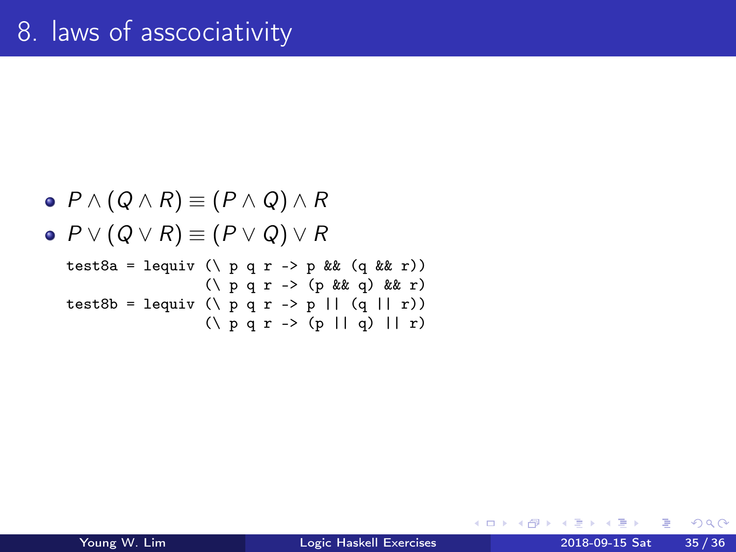\n- $$
P \land (Q \land R) \equiv (P \land Q) \land R
$$
\n- $P \lor (Q \lor R) \equiv (P \lor Q) \lor R$
\n- test8a = lequiv (\lor p q r \rightarrow p \& (q \& r))
\n- (\lor p q r \rightarrow (p \& (q \& r))
\n- test8b = lequiv (\lor p q r \rightarrow p || (q || r))
\n- (\lor p q r \rightarrow (p || q) || r)
\n

舌  $\,$ Young W. Lim [Logic Haskell Exercises](#page-0-0) 2018-09-15 Sat 35 / 36

 $\mathbf{p}$ 

∍  $\rightarrow$ 

**K ロ ト K 伊 ト K** 

重